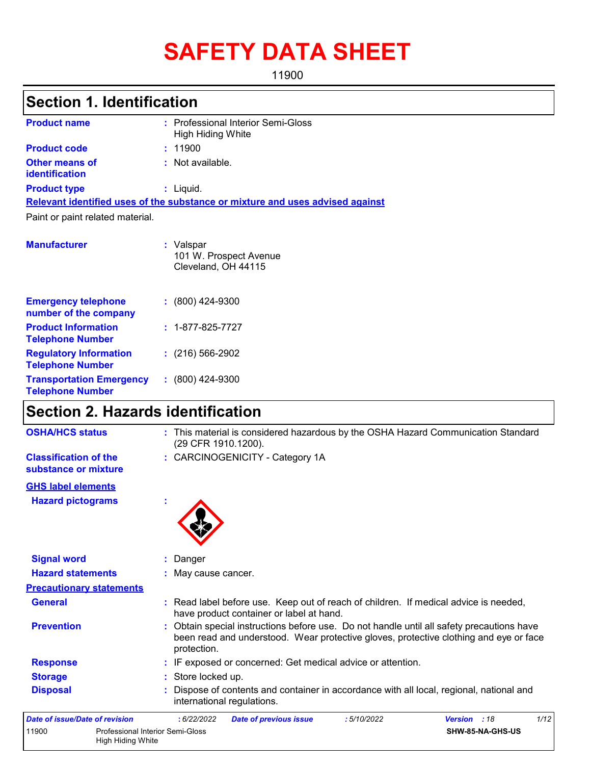# **SAFETY DATA SHEET**

11900

# **Section 1. Identification**

| <b>Product name</b>                                 | : Professional Interior Semi-Gloss<br>High Hiding White                       |
|-----------------------------------------------------|-------------------------------------------------------------------------------|
| <b>Product code</b>                                 | : 11900                                                                       |
| <b>Other means of</b><br>identification             | : Not available.                                                              |
| <b>Product type</b>                                 | $:$ Liquid.                                                                   |
|                                                     | Relevant identified uses of the substance or mixture and uses advised against |
| Paint or paint related material.                    |                                                                               |
|                                                     |                                                                               |
| <b>Manufacturer</b>                                 | : Valspar<br>101 W. Prospect Avenue<br>Cleveland, OH 44115                    |
| <b>Emergency telephone</b><br>number of the company | $: (800)$ 424-9300                                                            |

| number of the company                                      |                          |
|------------------------------------------------------------|--------------------------|
| <b>Product Information</b><br><b>Telephone Number</b>      | $: 1 - 877 - 825 - 7727$ |
| <b>Regulatory Information</b><br><b>Telephone Number</b>   | $(216)$ 566-2902         |
| <b>Transportation Emergency</b><br><b>Telephone Number</b> | $: (800)$ 424-9300       |

# **Section 2. Hazards identification**

| <b>OSHA/HCS status</b>                               | : This material is considered hazardous by the OSHA Hazard Communication Standard<br>(29 CFR 1910.1200).                                                                                          |
|------------------------------------------------------|---------------------------------------------------------------------------------------------------------------------------------------------------------------------------------------------------|
| <b>Classification of the</b><br>substance or mixture | : CARCINOGENICITY - Category 1A                                                                                                                                                                   |
| <b>GHS label elements</b>                            |                                                                                                                                                                                                   |
| <b>Hazard pictograms</b>                             |                                                                                                                                                                                                   |
| <b>Signal word</b>                                   | Danger                                                                                                                                                                                            |
| <b>Hazard statements</b>                             | May cause cancer.                                                                                                                                                                                 |
| <b>Precautionary statements</b>                      |                                                                                                                                                                                                   |
| <b>General</b>                                       | : Read label before use. Keep out of reach of children. If medical advice is needed,<br>have product container or label at hand.                                                                  |
| <b>Prevention</b>                                    | : Obtain special instructions before use. Do not handle until all safety precautions have<br>been read and understood. Wear protective gloves, protective clothing and eye or face<br>protection. |
| <b>Response</b>                                      | : IF exposed or concerned: Get medical advice or attention.                                                                                                                                       |
| <b>Storage</b>                                       | : Store locked up.                                                                                                                                                                                |
| <b>Disposal</b>                                      | Dispose of contents and container in accordance with all local, regional, national and<br>international regulations.                                                                              |
| Date of issue/Date of revision                       | 1/12<br>: 6/22/2022<br>:5/10/2022<br>Version : 18<br><b>Date of previous issue</b>                                                                                                                |
| 11900                                                | <b>Professional Interior Semi-Gloss</b><br>SHW-85-NA-GHS-US<br>High Hiding White                                                                                                                  |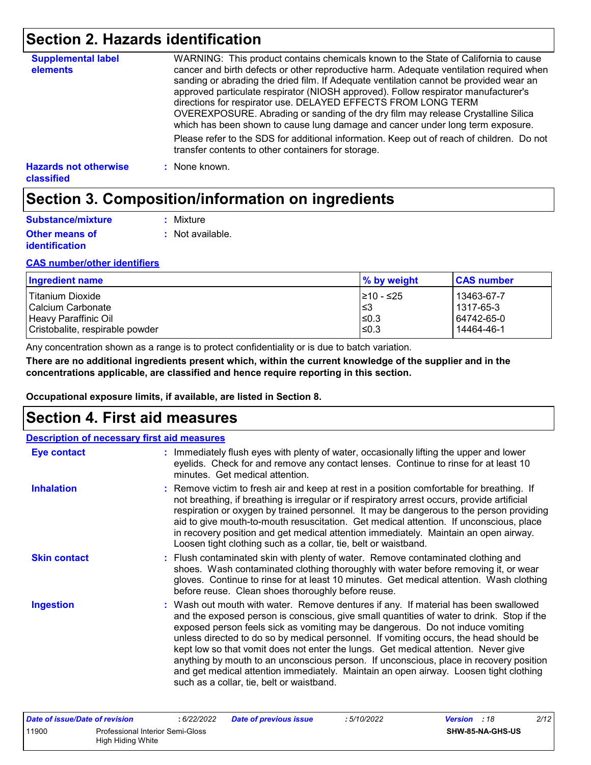## **Section 2. Hazards identification**

| <b>Supplemental label</b><br>elements      | WARNING: This product contains chemicals known to the State of California to cause<br>cancer and birth defects or other reproductive harm. Adequate ventilation required when<br>sanding or abrading the dried film. If Adequate ventilation cannot be provided wear an<br>approved particulate respirator (NIOSH approved). Follow respirator manufacturer's<br>directions for respirator use. DELAYED EFFECTS FROM LONG TERM<br>OVEREXPOSURE. Abrading or sanding of the dry film may release Crystalline Silica<br>which has been shown to cause lung damage and cancer under long term exposure. |
|--------------------------------------------|------------------------------------------------------------------------------------------------------------------------------------------------------------------------------------------------------------------------------------------------------------------------------------------------------------------------------------------------------------------------------------------------------------------------------------------------------------------------------------------------------------------------------------------------------------------------------------------------------|
|                                            | Please refer to the SDS for additional information. Keep out of reach of children. Do not<br>transfer contents to other containers for storage.                                                                                                                                                                                                                                                                                                                                                                                                                                                      |
| <b>Hazards not otherwise</b><br>classified | : None known.                                                                                                                                                                                                                                                                                                                                                                                                                                                                                                                                                                                        |

## **Section 3. Composition/information on ingredients**

| Substance/mixture                              | : Mixture        |
|------------------------------------------------|------------------|
| <b>Other means of</b><br><i>identification</i> | : Not available. |

#### **CAS number/other identifiers**

| Ingredient name                 | % by weight | <b>CAS number</b> |
|---------------------------------|-------------|-------------------|
| Titanium Dioxide                | 1≥10 - ≤25  | 13463-67-7        |
| l Calcium Carbonate             | l≤3         | l 1317-65-3       |
| Heavy Paraffinic Oil            | $\leq 0.3$  | 64742-65-0        |
| Cristobalite, respirable powder | $\leq 0.3$  | 14464-46-1        |

Any concentration shown as a range is to protect confidentiality or is due to batch variation.

**There are no additional ingredients present which, within the current knowledge of the supplier and in the concentrations applicable, are classified and hence require reporting in this section.**

**Occupational exposure limits, if available, are listed in Section 8.**

### **Section 4. First aid measures**

| <b>Description of necessary first aid measures</b> |                                                                                                                                                                                                                                                                                                                                                                                                                                                                                                                                                                                                                                                                                   |  |  |  |
|----------------------------------------------------|-----------------------------------------------------------------------------------------------------------------------------------------------------------------------------------------------------------------------------------------------------------------------------------------------------------------------------------------------------------------------------------------------------------------------------------------------------------------------------------------------------------------------------------------------------------------------------------------------------------------------------------------------------------------------------------|--|--|--|
| <b>Eye contact</b>                                 | : Immediately flush eyes with plenty of water, occasionally lifting the upper and lower<br>eyelids. Check for and remove any contact lenses. Continue to rinse for at least 10<br>minutes. Get medical attention.                                                                                                                                                                                                                                                                                                                                                                                                                                                                 |  |  |  |
| <b>Inhalation</b>                                  | : Remove victim to fresh air and keep at rest in a position comfortable for breathing. If<br>not breathing, if breathing is irregular or if respiratory arrest occurs, provide artificial<br>respiration or oxygen by trained personnel. It may be dangerous to the person providing<br>aid to give mouth-to-mouth resuscitation. Get medical attention. If unconscious, place<br>in recovery position and get medical attention immediately. Maintain an open airway.<br>Loosen tight clothing such as a collar, tie, belt or waistband.                                                                                                                                         |  |  |  |
| <b>Skin contact</b>                                | : Flush contaminated skin with plenty of water. Remove contaminated clothing and<br>shoes. Wash contaminated clothing thoroughly with water before removing it, or wear<br>gloves. Continue to rinse for at least 10 minutes. Get medical attention. Wash clothing<br>before reuse. Clean shoes thoroughly before reuse.                                                                                                                                                                                                                                                                                                                                                          |  |  |  |
| <b>Ingestion</b>                                   | : Wash out mouth with water. Remove dentures if any. If material has been swallowed<br>and the exposed person is conscious, give small quantities of water to drink. Stop if the<br>exposed person feels sick as vomiting may be dangerous. Do not induce vomiting<br>unless directed to do so by medical personnel. If vomiting occurs, the head should be<br>kept low so that vomit does not enter the lungs. Get medical attention. Never give<br>anything by mouth to an unconscious person. If unconscious, place in recovery position<br>and get medical attention immediately. Maintain an open airway. Loosen tight clothing<br>such as a collar, tie, belt or waistband. |  |  |  |

| Date of issue/Date of revision |                                  | 6/22/2022 | Date of previous issue | : 5/10/2022 | <b>Version</b> : 18 | 2/12 |
|--------------------------------|----------------------------------|-----------|------------------------|-------------|---------------------|------|
| 11900                          | Professional Interior Semi-Gloss |           |                        |             | SHW-85-NA-GHS-US    |      |
|                                | High Hiding White                |           |                        |             |                     |      |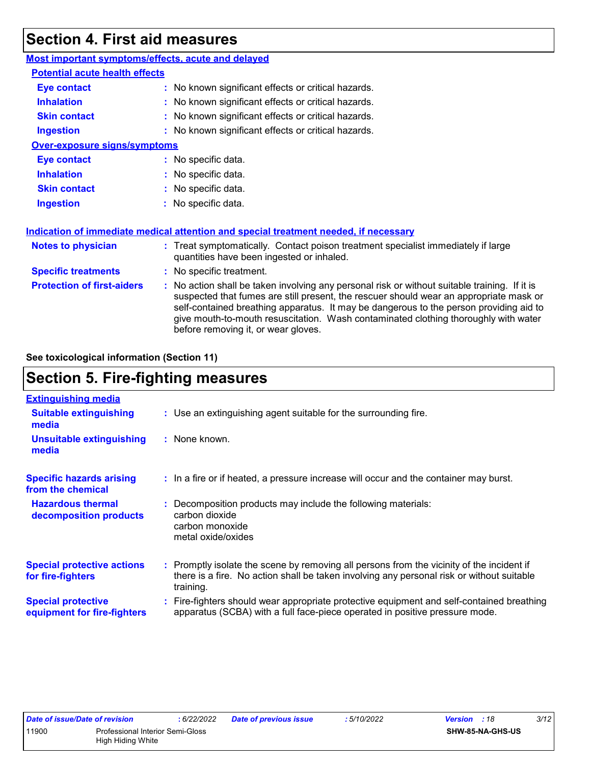## **Section 4. First aid measures**

| Most important symptoms/effects, acute and delayed |                                                                                                                                                                                                                                                                                                                                                                                                                 |
|----------------------------------------------------|-----------------------------------------------------------------------------------------------------------------------------------------------------------------------------------------------------------------------------------------------------------------------------------------------------------------------------------------------------------------------------------------------------------------|
| <b>Potential acute health effects</b>              |                                                                                                                                                                                                                                                                                                                                                                                                                 |
| <b>Eye contact</b>                                 | : No known significant effects or critical hazards.                                                                                                                                                                                                                                                                                                                                                             |
| <b>Inhalation</b>                                  | : No known significant effects or critical hazards.                                                                                                                                                                                                                                                                                                                                                             |
| <b>Skin contact</b>                                | : No known significant effects or critical hazards.                                                                                                                                                                                                                                                                                                                                                             |
| <b>Ingestion</b>                                   | : No known significant effects or critical hazards.                                                                                                                                                                                                                                                                                                                                                             |
| <b>Over-exposure signs/symptoms</b>                |                                                                                                                                                                                                                                                                                                                                                                                                                 |
| Eye contact                                        | : No specific data.                                                                                                                                                                                                                                                                                                                                                                                             |
| <b>Inhalation</b>                                  | : No specific data.                                                                                                                                                                                                                                                                                                                                                                                             |
| <b>Skin contact</b>                                | : No specific data.                                                                                                                                                                                                                                                                                                                                                                                             |
| <b>Ingestion</b>                                   | : No specific data.                                                                                                                                                                                                                                                                                                                                                                                             |
|                                                    | Indication of immediate medical attention and special treatment needed, if necessary                                                                                                                                                                                                                                                                                                                            |
| <b>Notes to physician</b>                          | : Treat symptomatically. Contact poison treatment specialist immediately if large<br>quantities have been ingested or inhaled.                                                                                                                                                                                                                                                                                  |
| <b>Specific treatments</b>                         | : No specific treatment.                                                                                                                                                                                                                                                                                                                                                                                        |
| <b>Protection of first-aiders</b>                  | : No action shall be taken involving any personal risk or without suitable training. If it is<br>suspected that fumes are still present, the rescuer should wear an appropriate mask or<br>self-contained breathing apparatus. It may be dangerous to the person providing aid to<br>give mouth-to-mouth resuscitation. Wash contaminated clothing thoroughly with water<br>before removing it, or wear gloves. |

**See toxicological information (Section 11)**

# **Section 5. Fire-fighting measures**

| <b>Extinguishing media</b>                               |                                                                                                                                                                                                     |
|----------------------------------------------------------|-----------------------------------------------------------------------------------------------------------------------------------------------------------------------------------------------------|
| <b>Suitable extinguishing</b><br>media                   | : Use an extinguishing agent suitable for the surrounding fire.                                                                                                                                     |
| <b>Unsuitable extinguishing</b><br>media                 | $:$ None known.                                                                                                                                                                                     |
| <b>Specific hazards arising</b><br>from the chemical     | : In a fire or if heated, a pressure increase will occur and the container may burst.                                                                                                               |
| <b>Hazardous thermal</b><br>decomposition products       | Decomposition products may include the following materials:<br>carbon dioxide<br>carbon monoxide<br>metal oxide/oxides                                                                              |
| <b>Special protective actions</b><br>for fire-fighters   | : Promptly isolate the scene by removing all persons from the vicinity of the incident if<br>there is a fire. No action shall be taken involving any personal risk or without suitable<br>training. |
| <b>Special protective</b><br>equipment for fire-fighters | Fire-fighters should wear appropriate protective equipment and self-contained breathing<br>apparatus (SCBA) with a full face-piece operated in positive pressure mode.                              |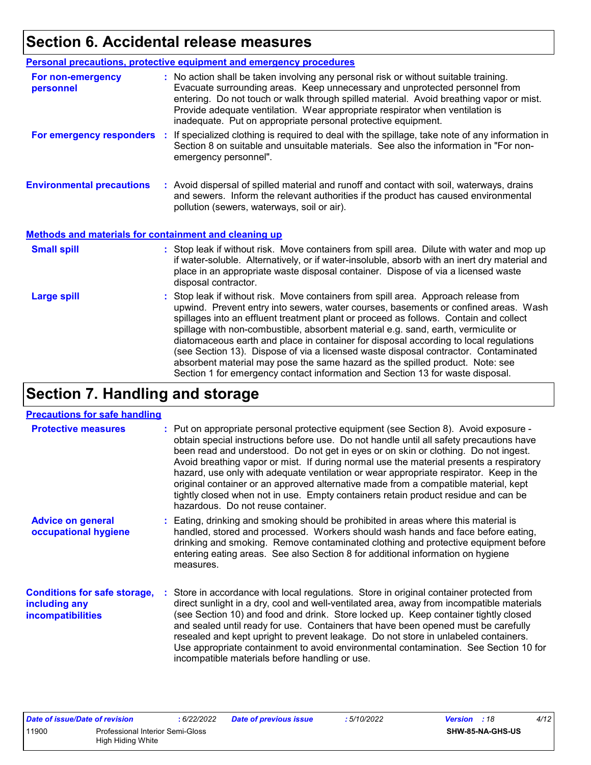# **Section 6. Accidental release measures**

|                                                              | Personal precautions, protective equipment and emergency procedures                                                                                                                                                                                                                                                                                                                                                                                                                                                                                                                                                                                                                                          |
|--------------------------------------------------------------|--------------------------------------------------------------------------------------------------------------------------------------------------------------------------------------------------------------------------------------------------------------------------------------------------------------------------------------------------------------------------------------------------------------------------------------------------------------------------------------------------------------------------------------------------------------------------------------------------------------------------------------------------------------------------------------------------------------|
| For non-emergency<br>personnel                               | : No action shall be taken involving any personal risk or without suitable training.<br>Evacuate surrounding areas. Keep unnecessary and unprotected personnel from<br>entering. Do not touch or walk through spilled material. Avoid breathing vapor or mist.<br>Provide adequate ventilation. Wear appropriate respirator when ventilation is<br>inadequate. Put on appropriate personal protective equipment.                                                                                                                                                                                                                                                                                             |
| For emergency responders                                     | If specialized clothing is required to deal with the spillage, take note of any information in<br>÷.<br>Section 8 on suitable and unsuitable materials. See also the information in "For non-<br>emergency personnel".                                                                                                                                                                                                                                                                                                                                                                                                                                                                                       |
| <b>Environmental precautions</b>                             | : Avoid dispersal of spilled material and runoff and contact with soil, waterways, drains<br>and sewers. Inform the relevant authorities if the product has caused environmental<br>pollution (sewers, waterways, soil or air).                                                                                                                                                                                                                                                                                                                                                                                                                                                                              |
| <b>Methods and materials for containment and cleaning up</b> |                                                                                                                                                                                                                                                                                                                                                                                                                                                                                                                                                                                                                                                                                                              |
| <b>Small spill</b>                                           | : Stop leak if without risk. Move containers from spill area. Dilute with water and mop up<br>if water-soluble. Alternatively, or if water-insoluble, absorb with an inert dry material and<br>place in an appropriate waste disposal container. Dispose of via a licensed waste<br>disposal contractor.                                                                                                                                                                                                                                                                                                                                                                                                     |
| <b>Large spill</b>                                           | : Stop leak if without risk. Move containers from spill area. Approach release from<br>upwind. Prevent entry into sewers, water courses, basements or confined areas. Wash<br>spillages into an effluent treatment plant or proceed as follows. Contain and collect<br>spillage with non-combustible, absorbent material e.g. sand, earth, vermiculite or<br>diatomaceous earth and place in container for disposal according to local regulations<br>(see Section 13). Dispose of via a licensed waste disposal contractor. Contaminated<br>absorbent material may pose the same hazard as the spilled product. Note: see<br>Section 1 for emergency contact information and Section 13 for waste disposal. |

# **Section 7. Handling and storage**

#### **Precautions for safe handling**

| <b>Protective measures</b>                                                       | : Put on appropriate personal protective equipment (see Section 8). Avoid exposure -<br>obtain special instructions before use. Do not handle until all safety precautions have<br>been read and understood. Do not get in eyes or on skin or clothing. Do not ingest.<br>Avoid breathing vapor or mist. If during normal use the material presents a respiratory<br>hazard, use only with adequate ventilation or wear appropriate respirator. Keep in the<br>original container or an approved alternative made from a compatible material, kept<br>tightly closed when not in use. Empty containers retain product residue and can be<br>hazardous. Do not reuse container. |  |
|----------------------------------------------------------------------------------|--------------------------------------------------------------------------------------------------------------------------------------------------------------------------------------------------------------------------------------------------------------------------------------------------------------------------------------------------------------------------------------------------------------------------------------------------------------------------------------------------------------------------------------------------------------------------------------------------------------------------------------------------------------------------------|--|
| <b>Advice on general</b><br>occupational hygiene                                 | : Eating, drinking and smoking should be prohibited in areas where this material is<br>handled, stored and processed. Workers should wash hands and face before eating,<br>drinking and smoking. Remove contaminated clothing and protective equipment before<br>entering eating areas. See also Section 8 for additional information on hygiene<br>measures.                                                                                                                                                                                                                                                                                                                  |  |
| <b>Conditions for safe storage,</b><br>including any<br><i>incompatibilities</i> | : Store in accordance with local regulations. Store in original container protected from<br>direct sunlight in a dry, cool and well-ventilated area, away from incompatible materials<br>(see Section 10) and food and drink. Store locked up. Keep container tightly closed<br>and sealed until ready for use. Containers that have been opened must be carefully<br>resealed and kept upright to prevent leakage. Do not store in unlabeled containers.<br>Use appropriate containment to avoid environmental contamination. See Section 10 for<br>incompatible materials before handling or use.                                                                            |  |

| Date of issue/Date of revision |                                  | 6/22/2022 | <b>Date of previous issue</b> | : 5/10/2022 | <b>Version</b> : 18 | 4/12 |
|--------------------------------|----------------------------------|-----------|-------------------------------|-------------|---------------------|------|
| 11900                          | Professional Interior Semi-Gloss |           |                               |             | SHW-85-NA-GHS-US    |      |
|                                | High Hiding White                |           |                               |             |                     |      |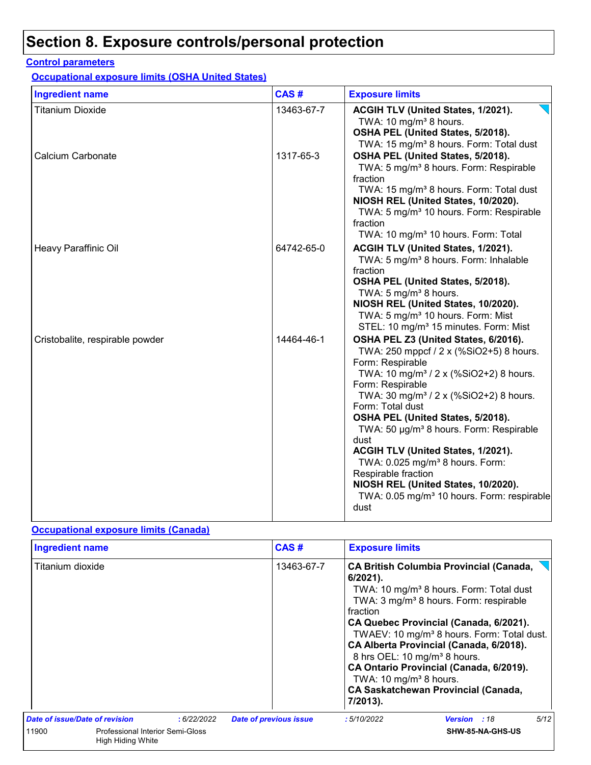# **Section 8. Exposure controls/personal protection**

#### **Control parameters**

**Occupational exposure limits (OSHA United States)**

| <b>Ingredient name</b>          | CAS#       | <b>Exposure limits</b>                                                                                                                                                                                                                                                                                                                                                                                                                                                                                                                                                           |
|---------------------------------|------------|----------------------------------------------------------------------------------------------------------------------------------------------------------------------------------------------------------------------------------------------------------------------------------------------------------------------------------------------------------------------------------------------------------------------------------------------------------------------------------------------------------------------------------------------------------------------------------|
| <b>Titanium Dioxide</b>         | 13463-67-7 | ACGIH TLV (United States, 1/2021).<br>TWA: 10 mg/m <sup>3</sup> 8 hours.<br>OSHA PEL (United States, 5/2018).<br>TWA: 15 mg/m <sup>3</sup> 8 hours. Form: Total dust                                                                                                                                                                                                                                                                                                                                                                                                             |
| Calcium Carbonate               | 1317-65-3  | OSHA PEL (United States, 5/2018).<br>TWA: 5 mg/m <sup>3</sup> 8 hours. Form: Respirable<br>fraction<br>TWA: 15 mg/m <sup>3</sup> 8 hours. Form: Total dust<br>NIOSH REL (United States, 10/2020).<br>TWA: 5 mg/m <sup>3</sup> 10 hours. Form: Respirable<br>fraction<br>TWA: 10 mg/m <sup>3</sup> 10 hours. Form: Total                                                                                                                                                                                                                                                          |
| Heavy Paraffinic Oil            | 64742-65-0 | ACGIH TLV (United States, 1/2021).<br>TWA: 5 mg/m <sup>3</sup> 8 hours. Form: Inhalable<br>fraction<br>OSHA PEL (United States, 5/2018).<br>TWA: 5 mg/m <sup>3</sup> 8 hours.<br>NIOSH REL (United States, 10/2020).<br>TWA: 5 mg/m <sup>3</sup> 10 hours. Form: Mist<br>STEL: 10 mg/m <sup>3</sup> 15 minutes. Form: Mist                                                                                                                                                                                                                                                       |
| Cristobalite, respirable powder | 14464-46-1 | OSHA PEL Z3 (United States, 6/2016).<br>TWA: 250 mppcf / 2 x (%SiO2+5) 8 hours.<br>Form: Respirable<br>TWA: 10 mg/m <sup>3</sup> / 2 x (%SiO2+2) 8 hours.<br>Form: Respirable<br>TWA: 30 mg/m <sup>3</sup> / 2 x (%SiO2+2) 8 hours.<br>Form: Total dust<br>OSHA PEL (United States, 5/2018).<br>TWA: 50 µg/m <sup>3</sup> 8 hours. Form: Respirable<br>dust<br>ACGIH TLV (United States, 1/2021).<br>TWA: 0.025 mg/m <sup>3</sup> 8 hours. Form:<br>Respirable fraction<br>NIOSH REL (United States, 10/2020).<br>TWA: 0.05 mg/m <sup>3</sup> 10 hours. Form: respirable<br>dust |

#### **Occupational exposure limits (Canada)**

| <b>Ingredient name</b>         |                                                       |            |                               | CAS#       | <b>Exposure limits</b>                                                                                                |                                                                                                                                                                                                                                                                                                                                                                                                     |      |
|--------------------------------|-------------------------------------------------------|------------|-------------------------------|------------|-----------------------------------------------------------------------------------------------------------------------|-----------------------------------------------------------------------------------------------------------------------------------------------------------------------------------------------------------------------------------------------------------------------------------------------------------------------------------------------------------------------------------------------------|------|
| Titanium dioxide               |                                                       |            |                               | 13463-67-7 | $6/2021$ ).<br>fraction<br>8 hrs OEL: 10 mg/m <sup>3</sup> 8 hours.<br>TWA: 10 mg/m <sup>3</sup> 8 hours.<br>7/2013). | <b>CA British Columbia Provincial (Canada,</b><br>TWA: 10 mg/m <sup>3</sup> 8 hours. Form: Total dust<br>TWA: 3 mg/m <sup>3</sup> 8 hours. Form: respirable<br>CA Quebec Provincial (Canada, 6/2021).<br>TWAEV: 10 mg/m <sup>3</sup> 8 hours. Form: Total dust.<br>CA Alberta Provincial (Canada, 6/2018).<br>CA Ontario Provincial (Canada, 6/2019).<br><b>CA Saskatchewan Provincial (Canada,</b> |      |
| Date of issue/Date of revision |                                                       | :6/22/2022 | <b>Date of previous issue</b> |            | : 5/10/2022                                                                                                           | <b>Version</b> : 18                                                                                                                                                                                                                                                                                                                                                                                 | 5/12 |
| 11900                          | Professional Interior Semi-Gloss<br>High Hiding White |            |                               |            |                                                                                                                       | SHW-85-NA-GHS-US                                                                                                                                                                                                                                                                                                                                                                                    |      |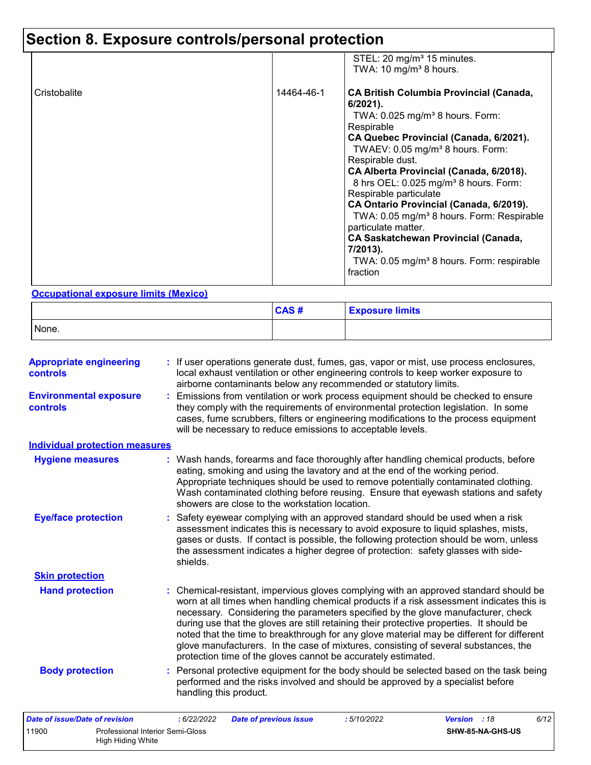# **Section 8. Exposure controls/personal protection**

|              |            | STEL: 20 mg/m <sup>3</sup> 15 minutes.<br>TWA: 10 mg/m <sup>3</sup> 8 hours.                                                                                                                                                                                                                                                                                                                                                                                                                                                                                                                                                   |
|--------------|------------|--------------------------------------------------------------------------------------------------------------------------------------------------------------------------------------------------------------------------------------------------------------------------------------------------------------------------------------------------------------------------------------------------------------------------------------------------------------------------------------------------------------------------------------------------------------------------------------------------------------------------------|
| Cristobalite | 14464-46-1 | <b>CA British Columbia Provincial (Canada,</b><br>$6/2021$ ).<br>TWA: $0.025$ mg/m <sup>3</sup> 8 hours. Form:<br>Respirable<br>CA Quebec Provincial (Canada, 6/2021).<br>TWAEV: 0.05 mg/m <sup>3</sup> 8 hours. Form:<br>Respirable dust.<br>CA Alberta Provincial (Canada, 6/2018).<br>8 hrs OEL: 0.025 mg/m <sup>3</sup> 8 hours. Form:<br>Respirable particulate<br>CA Ontario Provincial (Canada, 6/2019).<br>TWA: 0.05 mg/m <sup>3</sup> 8 hours. Form: Respirable<br>particulate matter.<br><b>CA Saskatchewan Provincial (Canada,</b><br>7/2013).<br>TWA: 0.05 mg/m <sup>3</sup> 8 hours. Form: respirable<br>fraction |

#### **Occupational exposure limits (Mexico)**

|       | CAS# | <b>Exposure limits</b> |
|-------|------|------------------------|
| None. |      |                        |

| <b>Appropriate engineering</b><br>controls                     |             |                               |                                                | : If user operations generate dust, fumes, gas, vapor or mist, use process enclosures,<br>local exhaust ventilation or other engineering controls to keep worker exposure to<br>airborne contaminants below any recommended or statutory limits.                                                                                                                                                                                                                                                                                                                                                                       |              |                  |      |
|----------------------------------------------------------------|-------------|-------------------------------|------------------------------------------------|------------------------------------------------------------------------------------------------------------------------------------------------------------------------------------------------------------------------------------------------------------------------------------------------------------------------------------------------------------------------------------------------------------------------------------------------------------------------------------------------------------------------------------------------------------------------------------------------------------------------|--------------|------------------|------|
| <b>Environmental exposure</b><br>controls                      |             |                               |                                                | : Emissions from ventilation or work process equipment should be checked to ensure<br>they comply with the requirements of environmental protection legislation. In some<br>cases, fume scrubbers, filters or engineering modifications to the process equipment<br>will be necessary to reduce emissions to acceptable levels.                                                                                                                                                                                                                                                                                        |              |                  |      |
| <b>Individual protection measures</b>                          |             |                               |                                                |                                                                                                                                                                                                                                                                                                                                                                                                                                                                                                                                                                                                                        |              |                  |      |
| <b>Hygiene measures</b>                                        |             |                               | showers are close to the workstation location. | : Wash hands, forearms and face thoroughly after handling chemical products, before<br>eating, smoking and using the lavatory and at the end of the working period.<br>Appropriate techniques should be used to remove potentially contaminated clothing.<br>Wash contaminated clothing before reusing. Ensure that eyewash stations and safety                                                                                                                                                                                                                                                                        |              |                  |      |
| <b>Eye/face protection</b>                                     | shields.    |                               |                                                | : Safety eyewear complying with an approved standard should be used when a risk<br>assessment indicates this is necessary to avoid exposure to liquid splashes, mists,<br>gases or dusts. If contact is possible, the following protection should be worn, unless<br>the assessment indicates a higher degree of protection: safety glasses with side-                                                                                                                                                                                                                                                                 |              |                  |      |
| <b>Skin protection</b>                                         |             |                               |                                                |                                                                                                                                                                                                                                                                                                                                                                                                                                                                                                                                                                                                                        |              |                  |      |
| <b>Hand protection</b>                                         |             |                               |                                                | : Chemical-resistant, impervious gloves complying with an approved standard should be<br>worn at all times when handling chemical products if a risk assessment indicates this is<br>necessary. Considering the parameters specified by the glove manufacturer, check<br>during use that the gloves are still retaining their protective properties. It should be<br>noted that the time to breakthrough for any glove material may be different for different<br>glove manufacturers. In the case of mixtures, consisting of several substances, the<br>protection time of the gloves cannot be accurately estimated. |              |                  |      |
| <b>Body protection</b>                                         |             | handling this product.        |                                                | : Personal protective equipment for the body should be selected based on the task being<br>performed and the risks involved and should be approved by a specialist before                                                                                                                                                                                                                                                                                                                                                                                                                                              |              |                  |      |
| Date of issue/Date of revision                                 | : 6/22/2022 | <b>Date of previous issue</b> |                                                | :5/10/2022                                                                                                                                                                                                                                                                                                                                                                                                                                                                                                                                                                                                             | Version : 18 |                  | 6/12 |
| 11900<br>Professional Interior Semi-Gloss<br>High Hiding White |             |                               |                                                |                                                                                                                                                                                                                                                                                                                                                                                                                                                                                                                                                                                                                        |              | SHW-85-NA-GHS-US |      |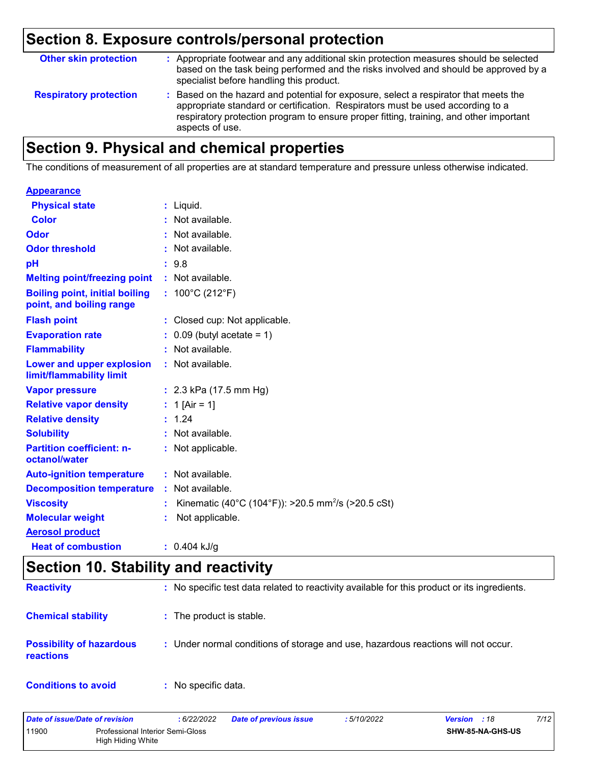# **Section 8. Exposure controls/personal protection**

| <b>Other skin protection</b>  | : Appropriate footwear and any additional skin protection measures should be selected<br>based on the task being performed and the risks involved and should be approved by a<br>specialist before handling this product.                                                           |
|-------------------------------|-------------------------------------------------------------------------------------------------------------------------------------------------------------------------------------------------------------------------------------------------------------------------------------|
| <b>Respiratory protection</b> | : Based on the hazard and potential for exposure, select a respirator that meets the<br>appropriate standard or certification. Respirators must be used according to a<br>respiratory protection program to ensure proper fitting, training, and other important<br>aspects of use. |

# **Section 9. Physical and chemical properties**

The conditions of measurement of all properties are at standard temperature and pressure unless otherwise indicated.

| <u>Appearance</u>                                                 |    |                                                                |
|-------------------------------------------------------------------|----|----------------------------------------------------------------|
| <b>Physical state</b>                                             |    | $:$ Liquid.                                                    |
| <b>Color</b>                                                      |    | : Not available.                                               |
| Odor                                                              |    | : Not available.                                               |
| <b>Odor threshold</b>                                             |    | : Not available.                                               |
| рH                                                                |    | : 9.8                                                          |
| <b>Melting point/freezing point</b>                               |    | $:$ Not available.                                             |
| <b>Boiling point, initial boiling</b><br>point, and boiling range |    | : $100^{\circ}$ C (212 $^{\circ}$ F)                           |
| <b>Flash point</b>                                                |    | : Closed cup: Not applicable.                                  |
| <b>Evaporation rate</b>                                           |    | $0.09$ (butyl acetate = 1)                                     |
| <b>Flammability</b>                                               |    | : Not available.                                               |
| Lower and upper explosion<br>limit/flammability limit             | t. | Not available.                                                 |
| <b>Vapor pressure</b>                                             |    | : $2.3$ kPa (17.5 mm Hg)                                       |
| <b>Relative vapor density</b>                                     |    | : 1 [Air = 1]                                                  |
| <b>Relative density</b>                                           |    | : 1.24                                                         |
| <b>Solubility</b>                                                 |    | : Not available.                                               |
| <b>Partition coefficient: n-</b><br>octanol/water                 |    | Not applicable.                                                |
| <b>Auto-ignition temperature</b>                                  |    | : Not available.                                               |
| <b>Decomposition temperature</b>                                  |    | : Not available.                                               |
| <b>Viscosity</b>                                                  | ÷. | Kinematic (40°C (104°F)): >20.5 mm <sup>2</sup> /s (>20.5 cSt) |
| <b>Molecular weight</b>                                           |    | Not applicable.                                                |
| <b>Aerosol product</b>                                            |    |                                                                |
| <b>Heat of combustion</b>                                         |    | $: 0.404$ kJ/g                                                 |

# **Section 10. Stability and reactivity**

| <b>Reactivity</b>                            | : No specific test data related to reactivity available for this product or its ingredients. |
|----------------------------------------------|----------------------------------------------------------------------------------------------|
| <b>Chemical stability</b>                    | : The product is stable.                                                                     |
| <b>Possibility of hazardous</b><br>reactions | : Under normal conditions of storage and use, hazardous reactions will not occur.            |
| <b>Conditions to avoid</b>                   | : No specific data.                                                                          |

| Date of issue/Date of revision |                                                              | 6/22/2022 | <b>Date of previous issue</b> | 5/10/2022 | <b>Version</b> : 18 | 7/12 |
|--------------------------------|--------------------------------------------------------------|-----------|-------------------------------|-----------|---------------------|------|
| 11900                          | Professional Interior Semi-Gloss<br><b>High Hiding White</b> |           |                               |           | SHW-85-NA-GHS-US    |      |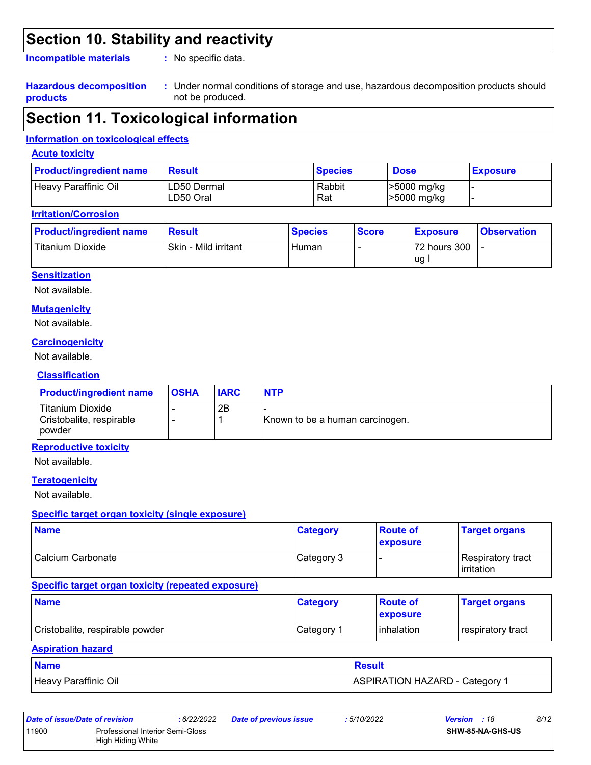## **Section 10. Stability and reactivity**

**Incompatible materials :**

: No specific data.

#### **Hazardous decomposition products**

Under normal conditions of storage and use, hazardous decomposition products should **:** not be produced.

## **Section 11. Toxicological information**

#### **Information on toxicological effects**

#### **Acute toxicity**

| <b>Product/ingredient name</b> | <b>Result</b>             | <b>Species</b> | <b>Dose</b>                | <b>Exposure</b> |
|--------------------------------|---------------------------|----------------|----------------------------|-----------------|
| Heavy Paraffinic Oil           | ILD50 Dermal<br>LD50 Oral | Rabbit<br>Rat  | >5000 mg/kg<br>>5000 mg/kg |                 |

#### **Irritation/Corrosion**

| <b>Product/ingredient name</b> | <b>Result</b>        | <b>Species</b> | <b>Score</b> | <b>Exposure</b>    | <b>Observation</b> |
|--------------------------------|----------------------|----------------|--------------|--------------------|--------------------|
| Titanium Dioxide               | Skin - Mild irritant | Human          |              | 72 hours 300<br>ug |                    |

#### **Sensitization**

Not available.

#### **Mutagenicity**

Not available.

#### **Carcinogenicity**

Not available.

#### **Classification**

| <b>Product/ingredient name</b>                                | <b>OSHA</b> | <b>IARC</b> | <b>NTP</b>                      |
|---------------------------------------------------------------|-------------|-------------|---------------------------------|
| Titanium Dioxide<br>Cristobalite, respirable<br><b>powder</b> |             | 2B          | Known to be a human carcinogen. |

#### **Reproductive toxicity**

Not available.

#### **Teratogenicity**

Not available.

#### **Specific target organ toxicity (single exposure)**

| <b>Name</b>       | <b>Category</b> | <b>Route of</b><br><b>exposure</b> | <b>Target organs</b>              |
|-------------------|-----------------|------------------------------------|-----------------------------------|
| Calcium Carbonate | Category 3      |                                    | Respiratory tract<br>l irritation |

#### **Specific target organ toxicity (repeated exposure)**

| <b>Name</b>                     | <b>Category</b>        | <b>Route of</b><br><b>exposure</b> | <b>Target organs</b> |
|---------------------------------|------------------------|------------------------------------|----------------------|
| Cristobalite, respirable powder | ⊩Category <sup>≁</sup> | <b>l</b> inhalation                | respiratory tract    |

#### **Aspiration hazard**

| <b>Name</b>          | <b>Result</b>                |
|----------------------|------------------------------|
| Heavy Paraffinic Oil | ASPIRATION HAZARD - Category |

| Date of issue/Date of revision |                                                       | : 6/22/2022 | Date of previous issue | :5/10/2022 | <b>Version</b> : 18     | 8/12 |
|--------------------------------|-------------------------------------------------------|-------------|------------------------|------------|-------------------------|------|
| 11900                          | Professional Interior Semi-Gloss<br>High Hiding White |             |                        |            | <b>SHW-85-NA-GHS-US</b> |      |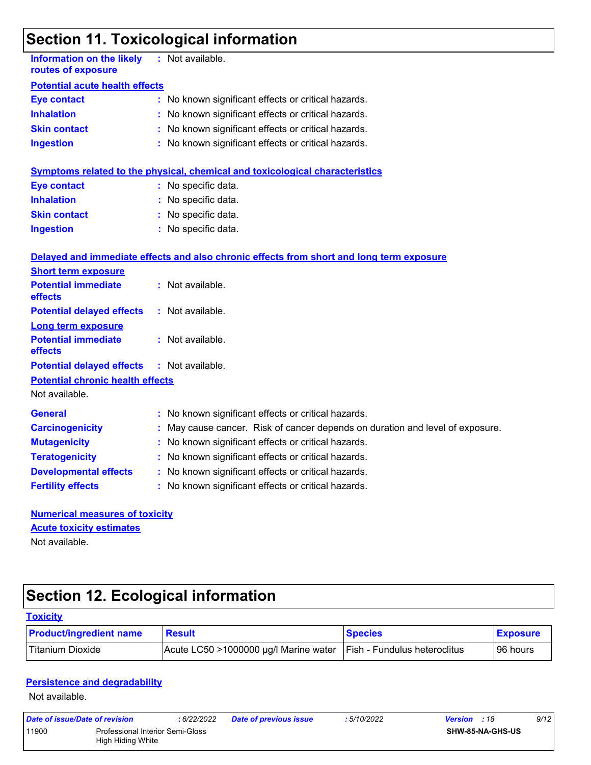# **Section 11. Toxicological information**

| <b>Information on the likely</b><br>routes of exposure    | : Not available.                                                                         |  |  |  |  |  |
|-----------------------------------------------------------|------------------------------------------------------------------------------------------|--|--|--|--|--|
| <b>Potential acute health effects</b>                     |                                                                                          |  |  |  |  |  |
| <b>Eye contact</b>                                        | : No known significant effects or critical hazards.                                      |  |  |  |  |  |
| <b>Inhalation</b>                                         | : No known significant effects or critical hazards.                                      |  |  |  |  |  |
| <b>Skin contact</b>                                       | : No known significant effects or critical hazards.                                      |  |  |  |  |  |
| <b>Ingestion</b>                                          | : No known significant effects or critical hazards.                                      |  |  |  |  |  |
|                                                           | <b>Symptoms related to the physical, chemical and toxicological characteristics</b>      |  |  |  |  |  |
| <b>Eye contact</b>                                        | : No specific data.                                                                      |  |  |  |  |  |
| <b>Inhalation</b>                                         | : No specific data.                                                                      |  |  |  |  |  |
| <b>Skin contact</b>                                       | : No specific data.                                                                      |  |  |  |  |  |
| <b>Ingestion</b>                                          | : No specific data.                                                                      |  |  |  |  |  |
|                                                           | Delayed and immediate effects and also chronic effects from short and long term exposure |  |  |  |  |  |
| <b>Short term exposure</b>                                |                                                                                          |  |  |  |  |  |
| <b>Potential immediate</b><br>effects                     | : Not available.                                                                         |  |  |  |  |  |
| <b>Potential delayed effects</b>                          | : Not available.                                                                         |  |  |  |  |  |
| <b>Long term exposure</b>                                 |                                                                                          |  |  |  |  |  |
| <b>Potential immediate</b><br>effects                     | : Not available.                                                                         |  |  |  |  |  |
| <b>Potential delayed effects</b>                          | : Not available.                                                                         |  |  |  |  |  |
| <b>Potential chronic health effects</b><br>Not available. |                                                                                          |  |  |  |  |  |
|                                                           |                                                                                          |  |  |  |  |  |
| <b>General</b>                                            | : No known significant effects or critical hazards.                                      |  |  |  |  |  |
| <b>Carcinogenicity</b>                                    | : May cause cancer. Risk of cancer depends on duration and level of exposure.            |  |  |  |  |  |
| <b>Mutagenicity</b>                                       | No known significant effects or critical hazards.                                        |  |  |  |  |  |
| <b>Teratogenicity</b>                                     | : No known significant effects or critical hazards.                                      |  |  |  |  |  |
| <b>Developmental effects</b>                              | : No known significant effects or critical hazards.                                      |  |  |  |  |  |
| <b>Fertility effects</b>                                  | : No known significant effects or critical hazards.                                      |  |  |  |  |  |
| <b>Numerical measures of toxicity</b>                     |                                                                                          |  |  |  |  |  |
| <b>Acute toxicity estimates</b>                           |                                                                                          |  |  |  |  |  |
| Not available.                                            |                                                                                          |  |  |  |  |  |

# **Section 12. Ecological information**

| <b>Toxicity</b>                |                                       |                                     |                 |
|--------------------------------|---------------------------------------|-------------------------------------|-----------------|
| <b>Product/ingredient name</b> | <b>Result</b>                         | <b>Species</b>                      | <b>Exposure</b> |
| Titanium Dioxide               | Acute LC50 >1000000 µg/l Marine water | <b>Fish - Fundulus heteroclitus</b> | 196 hours       |

#### **Persistence and degradability**

Not available.

| Date of issue/Date of revision |                                                       | 6/22/2022 | <b>Date of previous issue</b> | : 5/10/2022 | <b>Version</b> : 18 |                  | 9/12 |
|--------------------------------|-------------------------------------------------------|-----------|-------------------------------|-------------|---------------------|------------------|------|
| 11900                          | Professional Interior Semi-Gloss<br>High Hiding White |           |                               |             |                     | SHW-85-NA-GHS-US |      |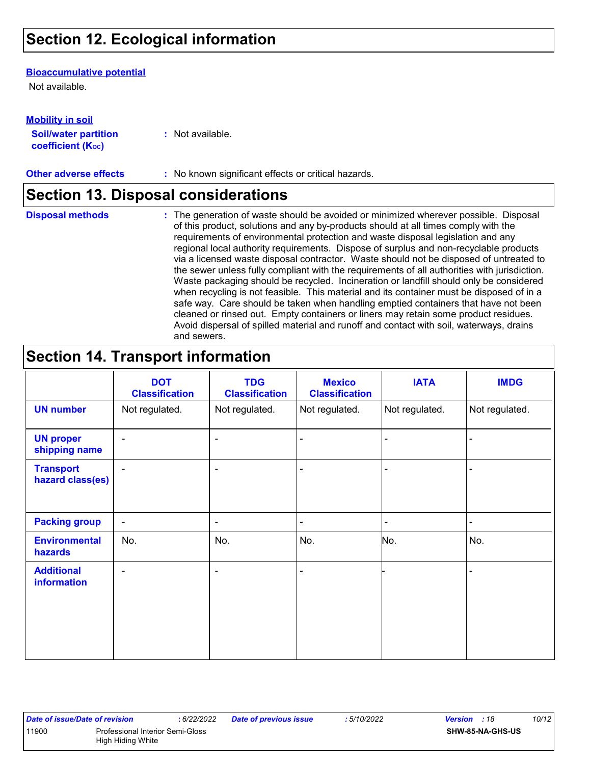## **Section 12. Ecological information**

#### **Bioaccumulative potential**

Not available.

**Mobility in soil**

| INVWIIILY III JVII          |                  |
|-----------------------------|------------------|
| <b>Soil/water partition</b> | : Not available. |
| <b>coefficient (Koc)</b>    |                  |

**Other adverse effects** : No known significant effects or critical hazards.

### **Section 13. Disposal considerations**

**Disposal methods :**

The generation of waste should be avoided or minimized wherever possible. Disposal of this product, solutions and any by-products should at all times comply with the requirements of environmental protection and waste disposal legislation and any regional local authority requirements. Dispose of surplus and non-recyclable products via a licensed waste disposal contractor. Waste should not be disposed of untreated to the sewer unless fully compliant with the requirements of all authorities with jurisdiction. Waste packaging should be recycled. Incineration or landfill should only be considered when recycling is not feasible. This material and its container must be disposed of in a safe way. Care should be taken when handling emptied containers that have not been cleaned or rinsed out. Empty containers or liners may retain some product residues. Avoid dispersal of spilled material and runoff and contact with soil, waterways, drains and sewers.

## **Section 14. Transport information**

|                                      | <b>DOT</b><br><b>Classification</b> | <b>TDG</b><br><b>Classification</b> | <b>Mexico</b><br><b>Classification</b> | <b>IATA</b>    | <b>IMDG</b>    |
|--------------------------------------|-------------------------------------|-------------------------------------|----------------------------------------|----------------|----------------|
| <b>UN number</b>                     | Not regulated.                      | Not regulated.                      | Not regulated.                         | Not regulated. | Not regulated. |
| <b>UN proper</b><br>shipping name    | $\blacksquare$                      | ۰                                   | $\blacksquare$                         |                |                |
| <b>Transport</b><br>hazard class(es) | $\blacksquare$                      | ۰                                   | $\blacksquare$                         |                |                |
| <b>Packing group</b>                 | $\blacksquare$                      | ۰                                   | $\overline{\phantom{0}}$               |                | $\blacksquare$ |
| <b>Environmental</b><br>hazards      | No.                                 | No.                                 | No.                                    | No.            | No.            |
| <b>Additional</b><br>information     | $\overline{\phantom{a}}$            | ۰                                   | $\blacksquare$                         |                |                |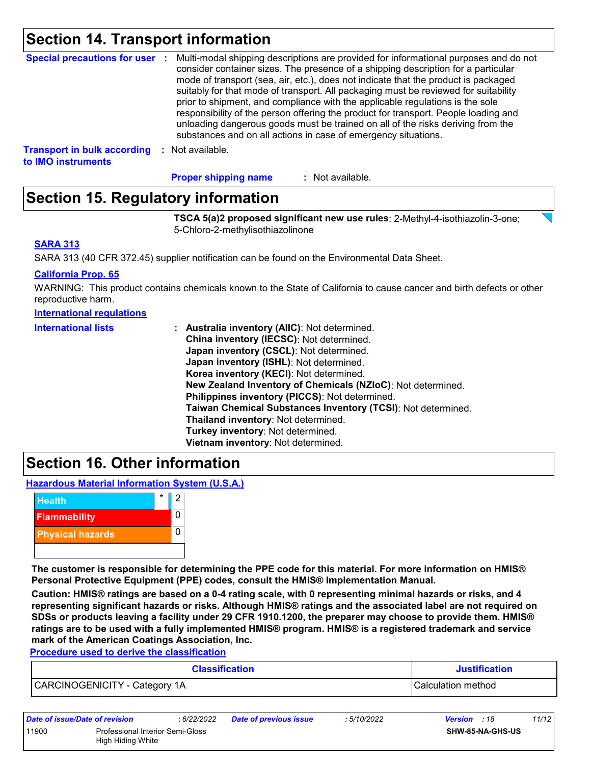### **Section 14. Transport information**

|                                                                           | Special precautions for user : Multi-modal shipping descriptions are provided for informational purposes and do not<br>consider container sizes. The presence of a shipping description for a particular<br>mode of transport (sea, air, etc.), does not indicate that the product is packaged<br>suitably for that mode of transport. All packaging must be reviewed for suitability<br>prior to shipment, and compliance with the applicable regulations is the sole<br>responsibility of the person offering the product for transport. People loading and<br>unloading dangerous goods must be trained on all of the risks deriving from the<br>substances and on all actions in case of emergency situations. |
|---------------------------------------------------------------------------|--------------------------------------------------------------------------------------------------------------------------------------------------------------------------------------------------------------------------------------------------------------------------------------------------------------------------------------------------------------------------------------------------------------------------------------------------------------------------------------------------------------------------------------------------------------------------------------------------------------------------------------------------------------------------------------------------------------------|
| <b>Transport in bulk according : Not available.</b><br>to IMO instruments |                                                                                                                                                                                                                                                                                                                                                                                                                                                                                                                                                                                                                                                                                                                    |

: Not available. **Proper shipping name :**

## **Section 15. Regulatory information**

**TSCA 5(a)2 proposed significant new use rules**: 2-Methyl-4-isothiazolin-3-one; 5-Chloro-2-methylisothiazolinone

#### **SARA 313**

SARA 313 (40 CFR 372.45) supplier notification can be found on the Environmental Data Sheet.

#### **California Prop. 65**

WARNING: This product contains chemicals known to the State of California to cause cancer and birth defects or other reproductive harm.

#### **International regulations**

| <b>International lists</b> | : Australia inventory (AIIC): Not determined.                |
|----------------------------|--------------------------------------------------------------|
|                            | China inventory (IECSC): Not determined.                     |
|                            | Japan inventory (CSCL): Not determined.                      |
|                            | Japan inventory (ISHL): Not determined.                      |
|                            | Korea inventory (KECI): Not determined.                      |
|                            | New Zealand Inventory of Chemicals (NZIoC): Not determined.  |
|                            | Philippines inventory (PICCS): Not determined.               |
|                            | Taiwan Chemical Substances Inventory (TCSI): Not determined. |
|                            | Thailand inventory: Not determined.                          |
|                            | Turkey inventory: Not determined.                            |
|                            | Vietnam inventory: Not determined.                           |

### **Section 16. Other information**

**Hazardous Material Information System (U.S.A.)**



**The customer is responsible for determining the PPE code for this material. For more information on HMIS® Personal Protective Equipment (PPE) codes, consult the HMIS® Implementation Manual.**

**Caution: HMIS® ratings are based on a 0-4 rating scale, with 0 representing minimal hazards or risks, and 4 representing significant hazards or risks. Although HMIS® ratings and the associated label are not required on SDSs or products leaving a facility under 29 CFR 1910.1200, the preparer may choose to provide them. HMIS® ratings are to be used with a fully implemented HMIS® program. HMIS® is a registered trademark and service mark of the American Coatings Association, Inc.**

**Procedure used to derive the classification**

| <b>Classification</b>         | <b>Justification</b> |
|-------------------------------|----------------------|
| CARCINOGENICITY - Category 1A | ICalculation method  |

| Date of issue/Date of revision |                                                              | : 6/22/2022 | <b>Date of previous issue</b> | : 5/10/2022 | <b>Version</b> : 18     | 11/12 |
|--------------------------------|--------------------------------------------------------------|-------------|-------------------------------|-------------|-------------------------|-------|
| 11900                          | <b>Professional Interior Semi-Gloss</b><br>High Hiding White |             |                               |             | <b>SHW-85-NA-GHS-US</b> |       |